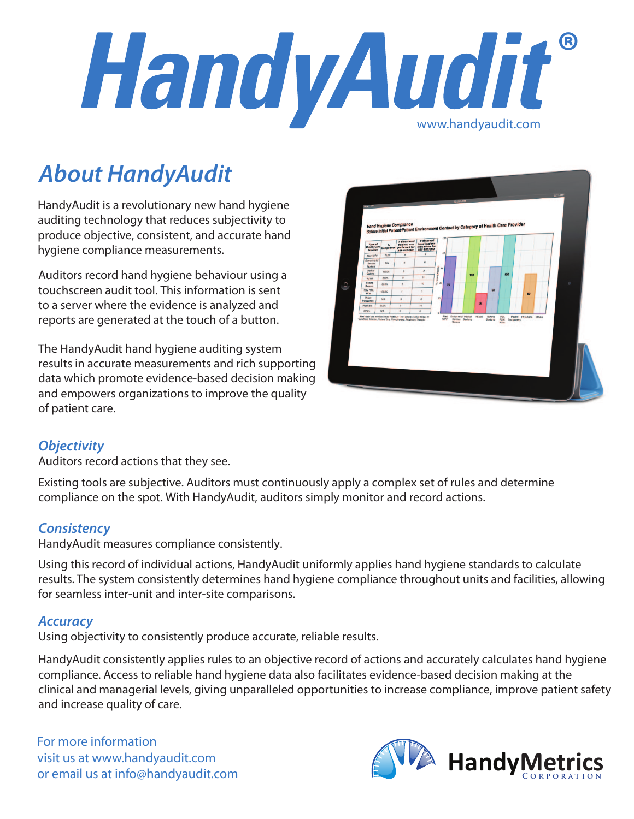

# *About HandyAudit*

HandyAudit is a revolutionary new hand hygiene auditing technology that reduces subjectivity to produce objective, consistent, and accurate hand hygiene compliance measurements.

Auditors record hand hygiene behaviour using a touchscreen audit tool. This information is sent to a server where the evidence is analyzed and reports are generated at the touch of a button.

The HandyAudit hand hygiene auditing system results in accurate measurements and rich supporting data which promote evidence-based decision making and empowers organizations to improve the quality of patient care.



# *Objectivity*

Auditors record actions that they see.

Existing tools are subjective. Auditors must continuously apply a complex set of rules and determine compliance on the spot. With HandyAudit, auditors simply monitor and record actions.

# *Consistency*

HandyAudit measures compliance consistently.

Using this record of individual actions, HandyAudit uniformly applies hand hygiene standards to calculate results. The system consistently determines hand hygiene compliance throughout units and facilities, allowing for seamless inter-unit and inter-site comparisons.

#### *Accuracy*

Using objectivity to consistently produce accurate, reliable results.

HandyAudit consistently applies rules to an objective record of actions and accurately calculates hand hygiene compliance. Access to reliable hand hygiene data also facilitates evidence-based decision making at the clinical and managerial levels, giving unparalleled opportunities to increase compliance, improve patient safety and increase quality of care.

For more information visit us at www.handyaudit.com or email us at info@handyaudit.com